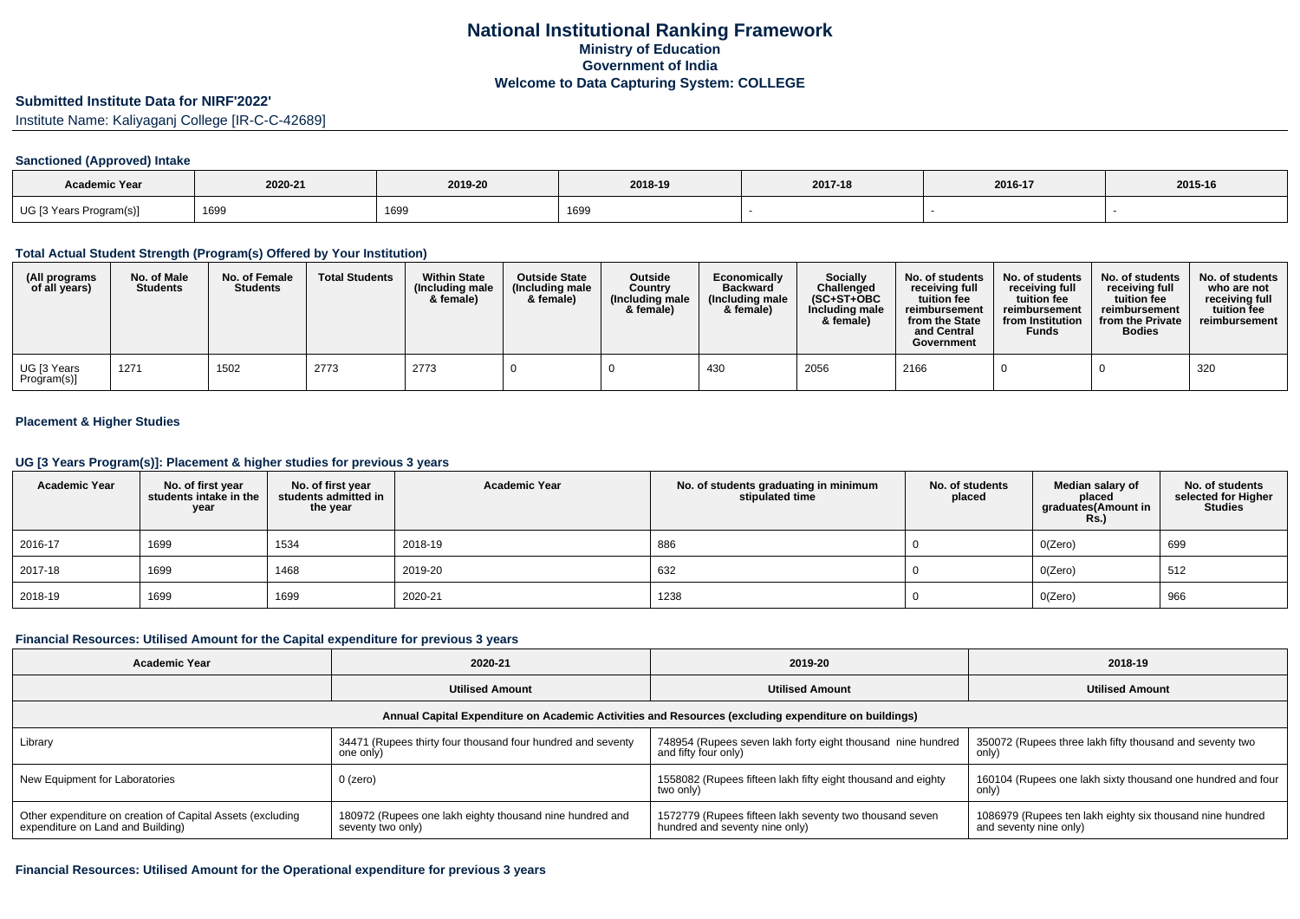## **Submitted Institute Data for NIRF'2022'**

Institute Name: Kaliyaganj College [IR-C-C-42689]

#### **Sanctioned (Approved) Intake**

| <b>Academic Year</b>    |         |         |         |         |         |         |
|-------------------------|---------|---------|---------|---------|---------|---------|
|                         | 2020-21 | 2019-20 | 2018-19 | 2017-18 | 2016-17 | 2015-16 |
| UG [3 Years Program(s)] | 1699    | 1699    | 1699    |         |         |         |

## **Total Actual Student Strength (Program(s) Offered by Your Institution)**

| (All programs<br>of all years) | No. of Male<br><b>Students</b> | No. of Female<br><b>Students</b> | <b>Total Students</b> | <b>Within State</b><br>(Including male<br>& female) | <b>Outside State</b><br>(Including male<br>& female) | <b>Outside</b><br>Country<br>(Including male<br>& female) | Economically<br><b>Backward</b><br>(Including male)<br>& female) | <b>Socially</b><br><b>Challenged</b><br>$(SC+ST+OBC)$<br>Including male<br>& female) | No. of students<br>receivina full<br>tuition fee<br>reimbursement<br>from the State<br>and Central<br>Government | No. of students<br>receiving full<br>tuition fee<br>reimbursement<br>from Institution<br><b>Funds</b> | No. of students<br>receiving full<br>tuition fee<br>reimbursement<br>from the Private<br><b>Bodies</b> | No. of students<br>who are not<br>receiving full<br>tuition fee<br>reimbursement |
|--------------------------------|--------------------------------|----------------------------------|-----------------------|-----------------------------------------------------|------------------------------------------------------|-----------------------------------------------------------|------------------------------------------------------------------|--------------------------------------------------------------------------------------|------------------------------------------------------------------------------------------------------------------|-------------------------------------------------------------------------------------------------------|--------------------------------------------------------------------------------------------------------|----------------------------------------------------------------------------------|
| UG [3 Years<br>Program(s)]     | 1271                           | 1502                             | 2773                  | 2773                                                |                                                      |                                                           | 430                                                              | 2056                                                                                 | 2166                                                                                                             |                                                                                                       |                                                                                                        | 320                                                                              |

# **Placement & Higher Studies**

#### **UG [3 Years Program(s)]: Placement & higher studies for previous 3 years**

| <b>Academic Year</b> | No. of first year<br>students intake in the<br>year | No. of first year<br>students admitted in<br>the year | <b>Academic Year</b> | No. of students graduating in minimum<br>stipulated time | No. of students<br>placed | Median salary of<br>placed<br>graduates(Amount in<br><b>Rs.)</b> | No. of students<br>selected for Higher<br><b>Studies</b> |
|----------------------|-----------------------------------------------------|-------------------------------------------------------|----------------------|----------------------------------------------------------|---------------------------|------------------------------------------------------------------|----------------------------------------------------------|
| 2016-17              | 1699                                                | 1534                                                  | 2018-19              | 886                                                      |                           | O(Zero)                                                          | 699                                                      |
| 2017-18              | 1699                                                | 1468                                                  | 2019-20              | 632                                                      |                           | O(Zero)                                                          | 512                                                      |
| 2018-19              | 1699                                                | 1699                                                  | 2020-21              | 1238                                                     |                           | O(Zero)                                                          | 966                                                      |

#### **Financial Resources: Utilised Amount for the Capital expenditure for previous 3 years**

| <b>Academic Year</b>                                                                                 | 2020-21                                                                       | 2019-20                                                                                   | 2018-19                                                                             |  |  |  |  |  |
|------------------------------------------------------------------------------------------------------|-------------------------------------------------------------------------------|-------------------------------------------------------------------------------------------|-------------------------------------------------------------------------------------|--|--|--|--|--|
|                                                                                                      | <b>Utilised Amount</b>                                                        | <b>Utilised Amount</b>                                                                    | <b>Utilised Amount</b>                                                              |  |  |  |  |  |
| Annual Capital Expenditure on Academic Activities and Resources (excluding expenditure on buildings) |                                                                               |                                                                                           |                                                                                     |  |  |  |  |  |
| Library                                                                                              | 34471 (Rupees thirty four thousand four hundred and seventy<br>one only)      | 748954 (Rupees seven lakh forty eight thousand nine hundred<br>and fifty four only)       | 350072 (Rupees three lakh fifty thousand and seventy two<br>only)                   |  |  |  |  |  |
| New Equipment for Laboratories                                                                       | 0 (zero)                                                                      | 1558082 (Rupees fifteen lakh fifty eight thousand and eighty<br>two only)                 | 160104 (Rupees one lakh sixty thousand one hundred and four<br>only)                |  |  |  |  |  |
| Other expenditure on creation of Capital Assets (excluding<br>expenditure on Land and Building)      | 180972 (Rupees one lakh eighty thousand nine hundred and<br>seventy two only) | 1572779 (Rupees fifteen lakh seventy two thousand seven<br>hundred and seventy nine only) | 1086979 (Rupees ten lakh eighty six thousand nine hundred<br>and seventy nine only) |  |  |  |  |  |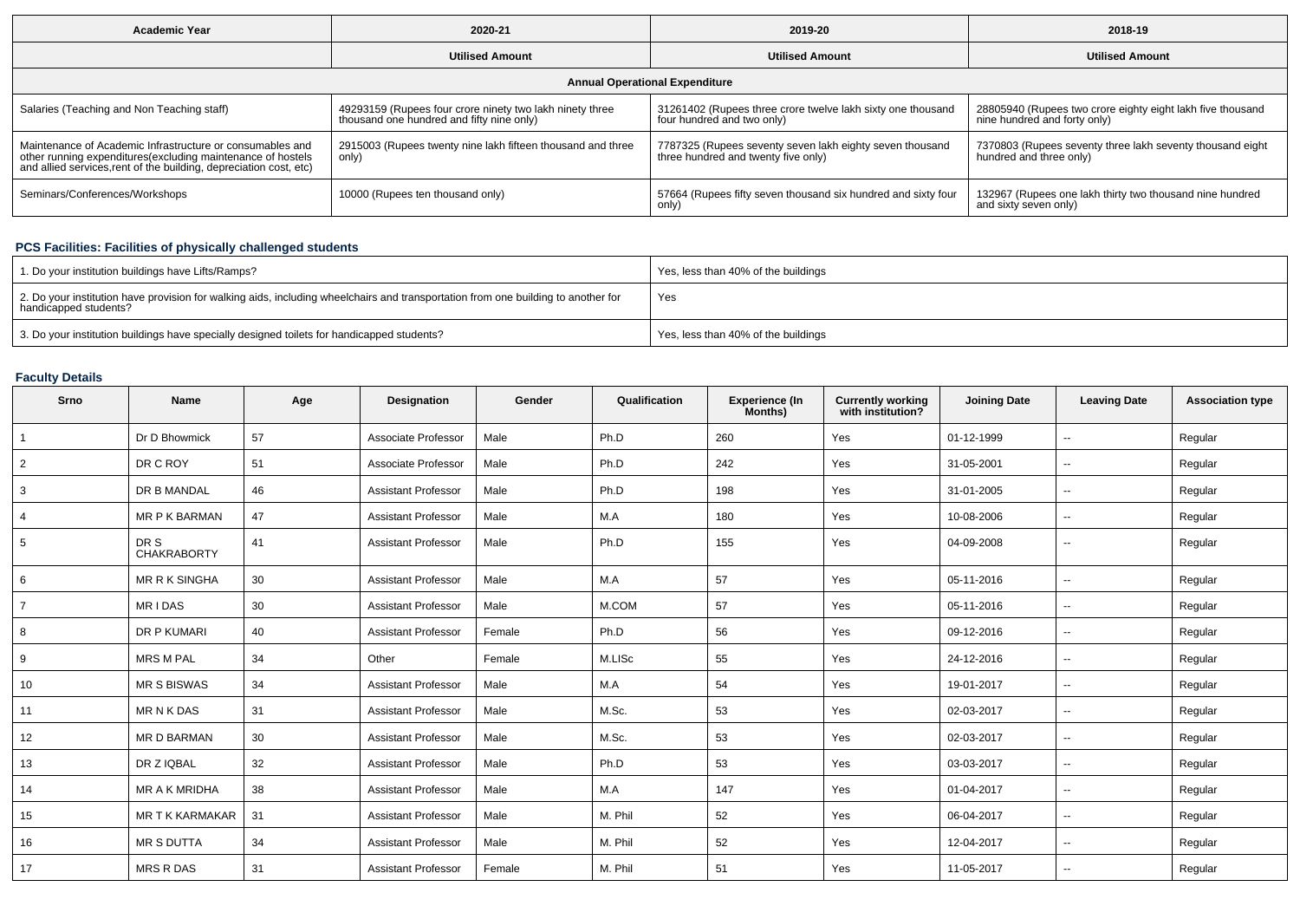| <b>Academic Year</b>                                                                                                                                                                           | 2020-21                                                                                               | 2019-20                                                                                         | 2018-19                                                                                    |  |  |  |  |  |
|------------------------------------------------------------------------------------------------------------------------------------------------------------------------------------------------|-------------------------------------------------------------------------------------------------------|-------------------------------------------------------------------------------------------------|--------------------------------------------------------------------------------------------|--|--|--|--|--|
|                                                                                                                                                                                                | <b>Utilised Amount</b>                                                                                | <b>Utilised Amount</b>                                                                          | <b>Utilised Amount</b>                                                                     |  |  |  |  |  |
| <b>Annual Operational Expenditure</b>                                                                                                                                                          |                                                                                                       |                                                                                                 |                                                                                            |  |  |  |  |  |
| Salaries (Teaching and Non Teaching staff)                                                                                                                                                     | 49293159 (Rupees four crore ninety two lakh ninety three<br>thousand one hundred and fifty nine only) | 31261402 (Rupees three crore twelve lakh sixty one thousand<br>four hundred and two only)       | 28805940 (Rupees two crore eighty eight lakh five thousand<br>nine hundred and forty only) |  |  |  |  |  |
| Maintenance of Academic Infrastructure or consumables and<br>other running expenditures(excluding maintenance of hostels<br>and allied services, rent of the building, depreciation cost, etc) | 2915003 (Rupees twenty nine lakh fifteen thousand and three<br>only)                                  | 7787325 (Rupees seventy seven lakh eighty seven thousand<br>three hundred and twenty five only) | 7370803 (Rupees seventy three lakh seventy thousand eight<br>hundred and three only)       |  |  |  |  |  |
| Seminars/Conferences/Workshops                                                                                                                                                                 | 10000 (Rupees ten thousand only)                                                                      | 57664 (Rupees fifty seven thousand six hundred and sixty four<br>only)                          | 132967 (Rupees one lakh thirty two thousand nine hundred<br>and sixty seven only)          |  |  |  |  |  |

# **PCS Facilities: Facilities of physically challenged students**

| 1. Do your institution buildings have Lifts/Ramps?                                                                                                         | Yes, less than 40% of the buildings |
|------------------------------------------------------------------------------------------------------------------------------------------------------------|-------------------------------------|
| 2. Do your institution have provision for walking aids, including wheelchairs and transportation from one building to another for<br>handicapped students? | Yes                                 |
| 3. Do your institution buildings have specially designed toilets for handicapped students?                                                                 | Yes, less than 40% of the buildings |

# **Faculty Details**

| Srno           | <b>Name</b>                | Age | <b>Designation</b>         | Gender | Qualification | Experience (In<br>Months) | <b>Currently working</b><br>with institution? | <b>Joining Date</b> | <b>Leaving Date</b>      | <b>Association type</b> |
|----------------|----------------------------|-----|----------------------------|--------|---------------|---------------------------|-----------------------------------------------|---------------------|--------------------------|-------------------------|
|                | Dr D Bhowmick              | 57  | Associate Professor        | Male   | Ph.D          | 260                       | Yes                                           | 01-12-1999          | $\overline{\phantom{a}}$ | Regular                 |
| $\overline{2}$ | DR C ROY                   | 51  | Associate Professor        | Male   | Ph.D          | 242                       | Yes                                           | 31-05-2001          | $\sim$                   | Regular                 |
| 3              | DR B MANDAL                | 46  | <b>Assistant Professor</b> | Male   | Ph.D          | 198                       | Yes                                           | 31-01-2005          | $\sim$                   | Regular                 |
| $\overline{4}$ | <b>MR P K BARMAN</b>       | 47  | <b>Assistant Professor</b> | Male   | M.A           | 180                       | Yes                                           | 10-08-2006          | $\sim$                   | Regular                 |
| 5              | DR S<br><b>CHAKRABORTY</b> | 41  | <b>Assistant Professor</b> | Male   | Ph.D          | 155                       | Yes                                           | 04-09-2008          | $\sim$                   | Regular                 |
| 6              | <b>MR R K SINGHA</b>       | 30  | <b>Assistant Professor</b> | Male   | M.A           | 57                        | Yes                                           | 05-11-2016          | $\sim$                   | Regular                 |
| $\overline{7}$ | <b>MRIDAS</b>              | 30  | <b>Assistant Professor</b> | Male   | M.COM         | 57                        | Yes                                           | 05-11-2016          | $\sim$                   | Regular                 |
| 8              | DR P KUMARI                | 40  | <b>Assistant Professor</b> | Female | Ph.D          | 56                        | Yes                                           | 09-12-2016          | $\sim$                   | Regular                 |
| 9              | <b>MRS M PAL</b>           | 34  | Other                      | Female | M.LISc        | 55                        | Yes                                           | 24-12-2016          | $\sim$                   | Regular                 |
| 10             | <b>MR S BISWAS</b>         | 34  | <b>Assistant Professor</b> | Male   | M.A           | 54                        | Yes                                           | 19-01-2017          | $\sim$                   | Regular                 |
| 11             | <b>MRNKDAS</b>             | 31  | <b>Assistant Professor</b> | Male   | M.Sc.         | 53                        | Yes                                           | 02-03-2017          | $\sim$                   | Regular                 |
| 12             | <b>MR D BARMAN</b>         | 30  | <b>Assistant Professor</b> | Male   | M.Sc.         | 53                        | Yes                                           | 02-03-2017          | $\sim$                   | Regular                 |
| 13             | DR Z IQBAL                 | 32  | <b>Assistant Professor</b> | Male   | Ph.D          | 53                        | Yes                                           | 03-03-2017          | $\sim$                   | Regular                 |
| 14             | MR A K MRIDHA              | 38  | <b>Assistant Professor</b> | Male   | M.A           | 147                       | Yes                                           | 01-04-2017          | $\sim$                   | Regular                 |
| 15             | <b>MR T K KARMAKAR</b>     | 31  | <b>Assistant Professor</b> | Male   | M. Phil       | 52                        | Yes                                           | 06-04-2017          | $\sim$                   | Regular                 |
| 16             | <b>MR S DUTTA</b>          | 34  | <b>Assistant Professor</b> | Male   | M. Phil       | 52                        | Yes                                           | 12-04-2017          | $\sim$                   | Regular                 |
| 17             | <b>MRS R DAS</b>           | 31  | <b>Assistant Professor</b> | Female | M. Phil       | 51                        | Yes                                           | 11-05-2017          | $\overline{\phantom{a}}$ | Regular                 |